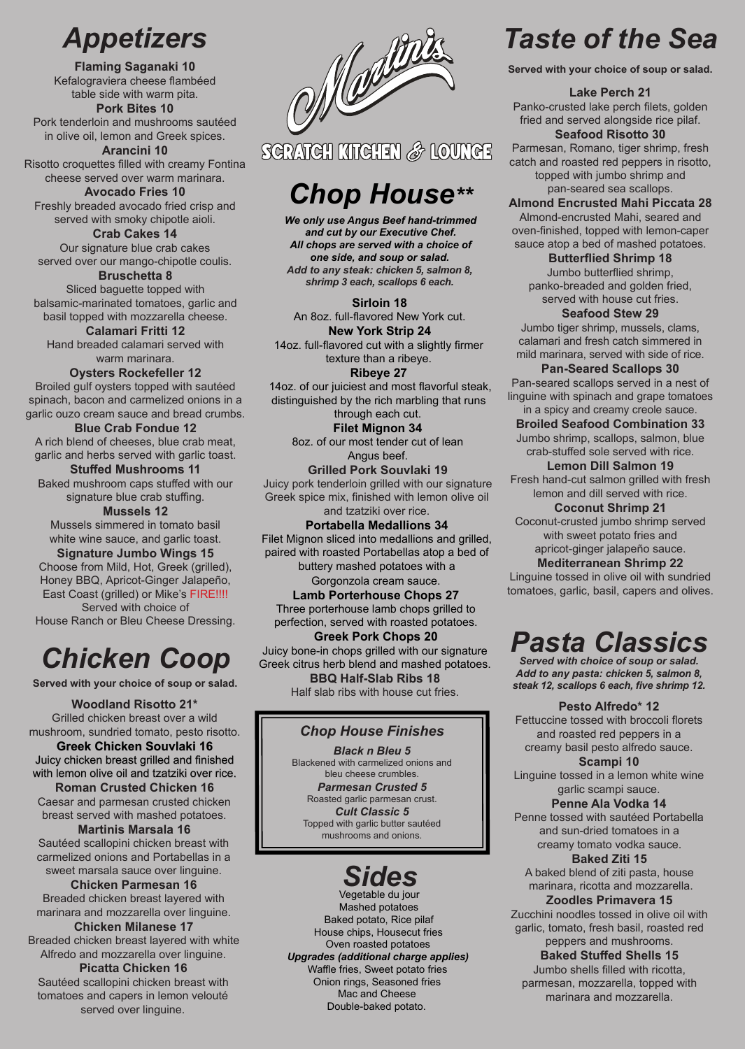# *Appetizers*

**Flaming Saganaki 10**  Kefalograviera cheese flambéed table side with warm pita. **Pork Bites 10**

Pork tenderloin and mushrooms sautéed in olive oil, lemon and Greek spices.

**Arancini 10** Risotto croquettes filled with creamy Fontina cheese served over warm marinara.

**Avocado Fries 10** Freshly breaded avocado fried crisp and served with smoky chipotle aioli.

**Crab Cakes 14** Our signature blue crab cakes served over our mango-chipotle coulis.

**Bruschetta 8** Sliced baguette topped with balsamic-marinated tomatoes, garlic and basil topped with mozzarella cheese. **Calamari Fritti 12**

Hand breaded calamari served with warm marinara.

**Oysters Rockefeller 12** Broiled gulf oysters topped with sautéed spinach, bacon and carmelized onions in a garlic ouzo cream sauce and bread crumbs.

**Blue Crab Fondue 12** A rich blend of cheeses, blue crab meat, garlic and herbs served with garlic toast.

**Stuffed Mushrooms 11** Baked mushroom caps stuffed with our signature blue crab stuffing.

**Mussels 12** Mussels simmered in tomato basil white wine sauce, and garlic toast. **Signature Jumbo Wings 15** Choose from Mild, Hot, Greek (grilled), Honey BBQ, Apricot-Ginger Jalapeño, East Coast (grilled) or Mike's FIRE!!!! Served with choice of

House Ranch or Bleu Cheese Dressing.

# *Chicken Coop*

**Served with your choice of soup or salad.** 

**Woodland Risotto 21\*** Grilled chicken breast over a wild mushroom, sundried tomato, pesto risotto.

**Greek Chicken Souvlaki 16** Juicy chicken breast grilled and finished with lemon olive oil and tzatziki over rice. **Roman Crusted Chicken 16**

Caesar and parmesan crusted chicken breast served with mashed potatoes.

**Martinis Marsala 16** Sautéed scallopini chicken breast with carmelized onions and Portabellas in a sweet marsala sauce over linguine.

**Chicken Parmesan 16**  Breaded chicken breast layered with marinara and mozzarella over linguine.

**Chicken Milanese 17** Breaded chicken breast layered with white Alfredo and mozzarella over linguine. **Picatta Chicken 16** 

Sautéed scallopini chicken breast with tomatoes and capers in lemon velouté served over linguine.



## SCRATCH KTIGHEN & LOUNCE

# *Chop House\*\**

*We only use Angus Beef hand-trimmed and cut by our Executive Chef. All chops are served with a choice of one side, and soup or salad. Add to any steak: chicken 5, salmon 8, shrimp 3 each, scallops 6 each.*

**Sirloin 18** An 8oz. full-flavored New York cut. **New York Strip 24**

14oz. full-flavored cut with a slightly firmer texture than a ribeye. **Ribeye 27** 

 14oz. of our juiciest and most flavorful steak, distinguished by the rich marbling that runs

through each cut. **Filet Mignon 34** 8oz. of our most tender cut of lean Angus beef.

**Grilled Pork Souvlaki 19** Juicy pork tenderloin grilled with our signature Greek spice mix, finished with lemon olive oil and tzatziki over rice.

**Portabella Medallions 34** Filet Mignon sliced into medallions and grilled, paired with roasted Portabellas atop a bed of buttery mashed potatoes with a

Gorgonzola cream sauce.

**Lamb Porterhouse Chops 27** Three porterhouse lamb chops grilled to perfection, served with roasted potatoes. **Greek Pork Chops 20** Juicy bone-in chops grilled with our signature

Greek citrus herb blend and mashed potatoes. **BBQ Half-Slab Ribs 18** Half slab ribs with house cut fries.

### *Chop House Finishes*

*Black n Bleu 5* Blackened with carmelized onions and bleu cheese crumbles. *Parmesan Crusted 5*  Roasted garlic parmesan crust. *Cult Classic 5* Topped with garlic butter sautéed mushrooms and onions.



Vegetable du jour Mashed potatoes Baked potato, Rice pilaf House chips, Housecut fries Oven roasted potatoes *Upgrades (additional charge applies)* Waffle fries, Sweet potato fries Onion rings, Seasoned fries Mac and Cheese Double-baked potato.

# *Taste of the Sea*

**Served with your choice of soup or salad.** 

**Lake Perch 21** Panko-crusted lake perch filets, golden fried and served alongside rice pilaf. **Seafood Risotto 30**

Parmesan, Romano, tiger shrimp, fresh catch and roasted red peppers in risotto, topped with jumbo shrimp and pan-seared sea scallops.

**Almond Encrusted Mahi Piccata 28** Almond-encrusted Mahi, seared and oven-finished, topped with lemon-caper sauce atop a bed of mashed potatoes.

**Butterflied Shrimp 18** Jumbo butterflied shrimp, panko-breaded and golden fried, served with house cut fries.

**Seafood Stew 29** Jumbo tiger shrimp, mussels, clams, calamari and fresh catch simmered in mild marinara, served with side of rice.

**Pan-Seared Scallops 30** Pan-seared scallops served in a nest of linguine with spinach and grape tomatoes in a spicy and creamy creole sauce.

**Broiled Seafood Combination 33** Jumbo shrimp, scallops, salmon, blue crab-stuffed sole served with rice.

**Lemon Dill Salmon 19** Fresh hand-cut salmon grilled with fresh lemon and dill served with rice. **Coconut Shrimp 21**

Coconut-crusted jumbo shrimp served with sweet potato fries and apricot-ginger jalapeño sauce. **Mediterranean Shrimp 22** 

Linguine tossed in olive oil with sundried tomatoes, garlic, basil, capers and olives.

# *Pasta Classics*

*Served with choice of soup or salad. Add to any pasta: chicken 5, salmon 8, steak 12, scallops 6 each, five shrimp 12.*

**Pesto Alfredo\* 12** Fettuccine tossed with broccoli florets

and roasted red peppers in a creamy basil pesto alfredo sauce. **Scampi 10**

Linguine tossed in a lemon white wine garlic scampi sauce.

**Penne Ala Vodka 14**  Penne tossed with sautéed Portabella and sun-dried tomatoes in a creamy tomato vodka sauce.

**Baked Ziti 15**

A baked blend of ziti pasta, house marinara, ricotta and mozzarella. **Zoodles Primavera 15** 

Zucchini noodles tossed in olive oil with garlic, tomato, fresh basil, roasted red peppers and mushrooms.

**Baked Stuffed Shells 15** Jumbo shells filled with ricotta, parmesan, mozzarella, topped with marinara and mozzarella.